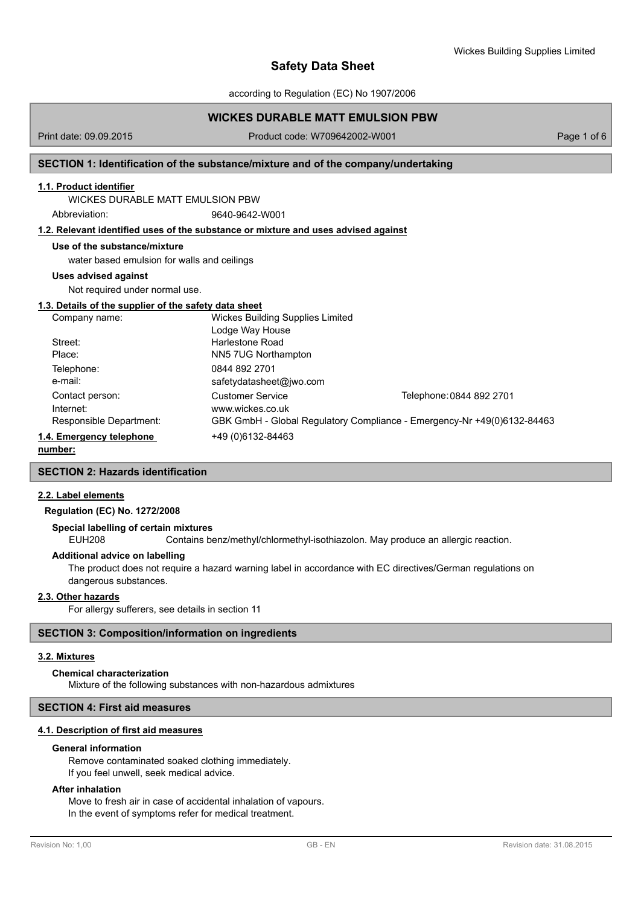according to Regulation (EC) No 1907/2006

# **WICKES DURABLE MATT EMULSION PBW**

Print date: 09.09.2015 Product code: W709642002-W001 Page 1 of 6

# **SECTION 1: Identification of the substance/mixture and of the company/undertaking**

## **1.1. Product identifier**

WICKES DURABLE MATT EMULSION PBW

Abbreviation: 9640-9642-W001

# **1.2. Relevant identified uses of the substance or mixture and uses advised against**

## **Use of the substance/mixture**

water based emulsion for walls and ceilings

## **Uses advised against**

Not required under normal use.

## **1.3. Details of the supplier of the safety data sheet**

| Company name:            | <b>Wickes Building Supplies Limited</b>                                 |                          |
|--------------------------|-------------------------------------------------------------------------|--------------------------|
|                          | Lodge Way House                                                         |                          |
| Street:                  | Harlestone Road                                                         |                          |
| Place:                   | NN5 7UG Northampton                                                     |                          |
| Telephone:               | 0844 892 2701                                                           |                          |
| e-mail:                  | safetydatasheet@jwo.com                                                 |                          |
| Contact person:          | Customer Service                                                        | Telephone: 0844 892 2701 |
| Internet:                | www.wickes.co.uk                                                        |                          |
| Responsible Department:  | GBK GmbH - Global Regulatory Compliance - Emergency-Nr +49(0)6132-84463 |                          |
| 1.4. Emergency telephone | +49 (0) 6132-84463                                                      |                          |

**number:**

# **SECTION 2: Hazards identification**

# **2.2. Label elements**

# **Regulation (EC) No. 1272/2008**

## **Special labelling of certain mixtures**

EUH208 Contains benz/methyl/chlormethyl-isothiazolon. May produce an allergic reaction.

# **Additional advice on labelling**

The product does not require a hazard warning label in accordance with EC directives/German regulations on dangerous substances.

## **2.3. Other hazards**

For allergy sufferers, see details in section 11

# **SECTION 3: Composition/information on ingredients**

## **3.2. Mixtures**

#### **Chemical characterization**

Mixture of the following substances with non-hazardous admixtures

# **SECTION 4: First aid measures**

## **4.1. Description of first aid measures**

#### **General information**

Remove contaminated soaked clothing immediately. If you feel unwell, seek medical advice.

# **After inhalation**

Move to fresh air in case of accidental inhalation of vapours. In the event of symptoms refer for medical treatment.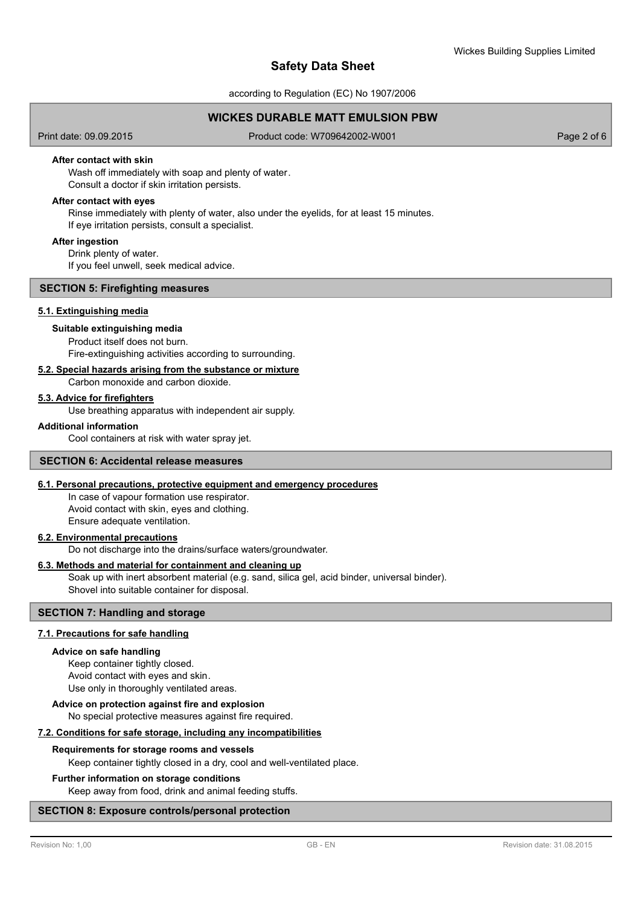according to Regulation (EC) No 1907/2006

# **WICKES DURABLE MATT EMULSION PBW**

Print date: 09.09.2015 Product code: W709642002-W001 Page 2 of 6

# **After contact with skin**

Wash off immediately with soap and plenty of water. Consult a doctor if skin irritation persists.

### **After contact with eyes**

Rinse immediately with plenty of water, also under the eyelids, for at least 15 minutes. If eye irritation persists, consult a specialist.

### **After ingestion**

Drink plenty of water.

If you feel unwell, seek medical advice.

# **SECTION 5: Firefighting measures**

# **5.1. Extinguishing media**

### **Suitable extinguishing media**

Product itself does not burn. Fire-extinguishing activities according to surrounding.

#### **5.2. Special hazards arising from the substance or mixture**

Carbon monoxide and carbon dioxide.

#### **5.3. Advice for firefighters**

Use breathing apparatus with independent air supply.

#### **Additional information**

Cool containers at risk with water spray jet.

# **SECTION 6: Accidental release measures**

# **6.1. Personal precautions, protective equipment and emergency procedures**

In case of vapour formation use respirator. Avoid contact with skin, eyes and clothing. Ensure adequate ventilation.

### **6.2. Environmental precautions**

Do not discharge into the drains/surface waters/groundwater.

## **6.3. Methods and material for containment and cleaning up**

Soak up with inert absorbent material (e.g. sand, silica gel, acid binder, universal binder). Shovel into suitable container for disposal.

# **SECTION 7: Handling and storage**

### **7.1. Precautions for safe handling**

#### **Advice on safe handling**

Keep container tightly closed. Avoid contact with eyes and skin. Use only in thoroughly ventilated areas.

# **Advice on protection against fire and explosion**

#### No special protective measures against fire required.

**7.2. Conditions for safe storage, including any incompatibilities**

#### **Requirements for storage rooms and vessels**

Keep container tightly closed in a dry, cool and well-ventilated place.

### **Further information on storage conditions**

Keep away from food, drink and animal feeding stuffs.

## **SECTION 8: Exposure controls/personal protection**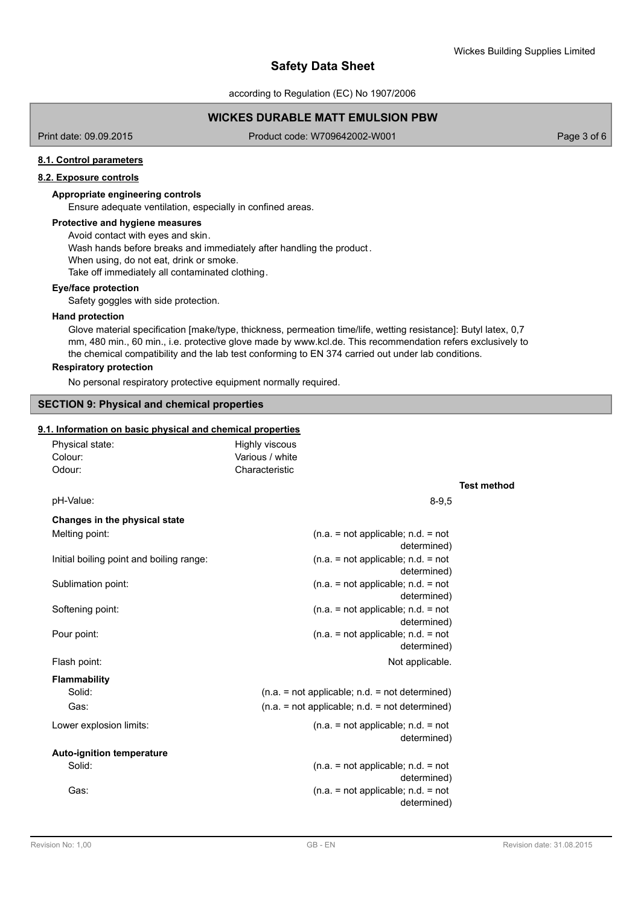**Test method**

# **Safety Data Sheet**

according to Regulation (EC) No 1907/2006

# **WICKES DURABLE MATT EMULSION PBW**

Print date: 09.09.2015 Product code: W709642002-W001 Page 3 of 6

## **8.1. Control parameters**

## **8.2. Exposure controls**

# **Appropriate engineering controls**

Ensure adequate ventilation, especially in confined areas.

#### **Protective and hygiene measures**

Avoid contact with eyes and skin. Wash hands before breaks and immediately after handling the product. When using, do not eat, drink or smoke. Take off immediately all contaminated clothing.

#### **Eye/face protection**

Safety goggles with side protection.

#### **Hand protection**

Glove material specification [make/type, thickness, permeation time/life, wetting resistance]: Butyl latex, 0,7 mm, 480 min., 60 min., i.e. protective glove made by www.kcl.de. This recommendation refers exclusively to the chemical compatibility and the lab test conforming to EN 374 carried out under lab conditions.

### **Respiratory protection**

No personal respiratory protective equipment normally required.

### **SECTION 9: Physical and chemical properties**

## **9.1. Information on basic physical and chemical properties**

| Physical state:<br>Colour:<br>Odour:     | Highly viscous<br>Various / white<br>Characteristic |
|------------------------------------------|-----------------------------------------------------|
| pH-Value:                                | $8 - 9,5$                                           |
| Changes in the physical state            |                                                     |
| Melting point:                           | $(n.a. = not applicable; n.d. = not$<br>determined) |
| Initial boiling point and boiling range: | $(n.a. = not applicable; n.d. = not$<br>determined) |
| Sublimation point:                       | $(n.a. = not applicable; n.d. = not$<br>determined) |
| Softening point:                         | $(n.a. = not applicable; n.d. = not$<br>determined) |
| Pour point:                              | $(n.a. = not applicable; n.d. = not$<br>determined) |
| Flash point:                             | Not applicable.                                     |
| <b>Flammability</b>                      |                                                     |
| Solid:                                   | $(n.a. = not applicable; n.d. = not determined)$    |
| Gas:                                     | $(n.a. = not applicable; n.d. = not determined)$    |
| Lower explosion limits:                  | $(n.a. = not applicable; n.d. = not$<br>determined) |
| <b>Auto-ignition temperature</b>         |                                                     |
| Solid:                                   | $(n.a. = not applicable; n.d. = not$<br>determined) |
| Gas:                                     | $(n.a. = not applicable; n.d. = not$<br>determined) |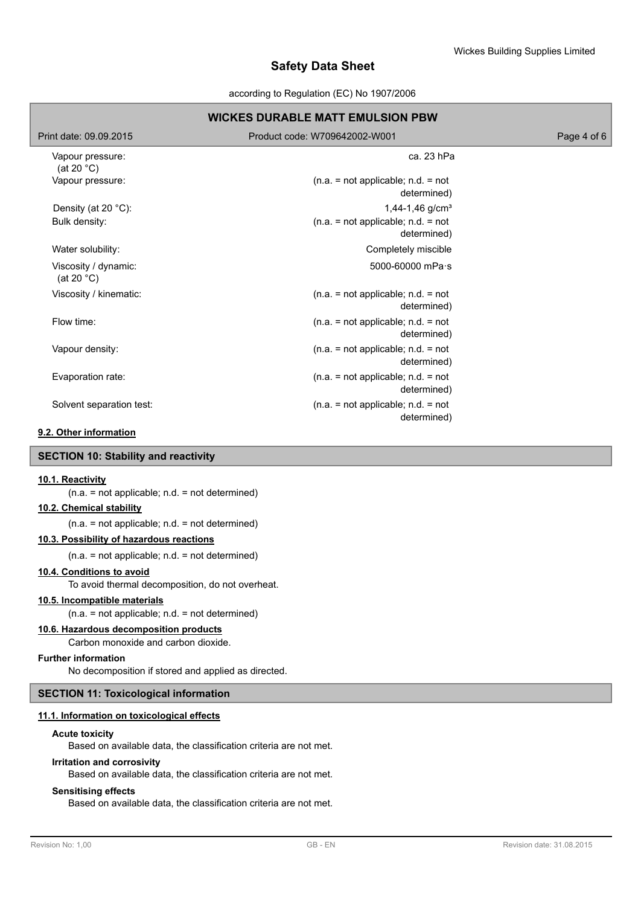according to Regulation (EC) No 1907/2006

## **WICKES DURABLE MATT EMULSION PBW** Print date: 09.09.2015 Product code: W709642002-W001 Page 4 of 6 Vapour pressure: (at 20 °C) ca. 23 hPa  $(n.a. = not applicable; n.d. = not$ determined) Vapour pressure: Density (at 20 °C):  $1,44-1,46$  g/cm<sup>3</sup> Bulk density:  $(n.a. = not applicable; n.d. = not$ determined) Water solubility: Water solubility: Viscosity / dynamic: (at 20 °C) 5000-60000 mPa·s Viscosity / kinematic: (n.a. = not applicable; n.d. = not determined)  $(n.a. = not applicable; n.d. = not$ determined) Flow time:  $(n.a. = not applicable; n.d. = not$ determined) Vapour density: Evaporation rate: (n.a. = not applicable; n.d. = not determined)  $(n.a. = not applicable; n.d. = not$ determined) Solvent separation test:

# **9.2. Other information**

## **SECTION 10: Stability and reactivity**

### **10.1. Reactivity**

(n.a. = not applicable; n.d. = not determined)

## **10.2. Chemical stability**

(n.a. = not applicable; n.d. = not determined)

# **10.3. Possibility of hazardous reactions**

 $(n.a. = not applicable; n.d. = not determined)$ 

## **10.4. Conditions to avoid**

To avoid thermal decomposition, do not overheat.

## **10.5. Incompatible materials**

 $(n.a. = not applicable; n.d. = not determined)$ 

## **10.6. Hazardous decomposition products**

Carbon monoxide and carbon dioxide.

### **Further information**

No decomposition if stored and applied as directed.

# **SECTION 11: Toxicological information**

# **11.1. Information on toxicological effects**

# **Acute toxicity**

Based on available data, the classification criteria are not met.

# **Irritation and corrosivity**

Based on available data, the classification criteria are not met.

# **Sensitising effects**

Based on available data, the classification criteria are not met.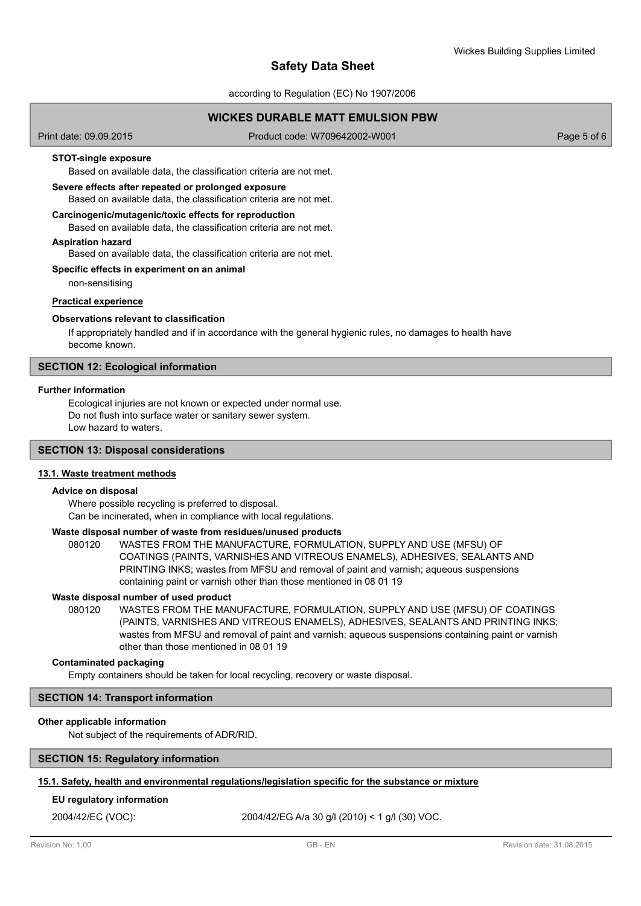according to Regulation (EC) No 1907/2006

# **WICKES DURABLE MATT EMULSION PBW**

Print date: 09.09.2015 Product code: W709642002-W001 Page 5 of 6

## **STOT-single exposure**

Based on available data, the classification criteria are not met.

# **Severe effects after repeated or prolonged exposure**

Based on available data, the classification criteria are not met.

### **Carcinogenic/mutagenic/toxic effects for reproduction**

Based on available data, the classification criteria are not met.

#### **Aspiration hazard**

Based on available data, the classification criteria are not met.

### **Specific effects in experiment on an animal**

non-sensitising

## **Practical experience**

## **Observations relevant to classification**

If appropriately handled and if in accordance with the general hygienic rules, no damages to health have become known.

## **SECTION 12: Ecological information**

## **Further information**

Ecological injuries are not known or expected under normal use. Do not flush into surface water or sanitary sewer system. Low hazard to waters.

# **SECTION 13: Disposal considerations**

## **13.1. Waste treatment methods**

## **Advice on disposal**

Where possible recycling is preferred to disposal. Can be incinerated, when in compliance with local regulations.

### **Waste disposal number of waste from residues/unused products**

080120 WASTES FROM THE MANUFACTURE, FORMULATION, SUPPLY AND USE (MFSU) OF COATINGS (PAINTS, VARNISHES AND VITREOUS ENAMELS), ADHESIVES, SEALANTS AND PRINTING INKS; wastes from MFSU and removal of paint and varnish; aqueous suspensions containing paint or varnish other than those mentioned in 08 01 19

### **Waste disposal number of used product**

WASTES FROM THE MANUFACTURE, FORMULATION, SUPPLY AND USE (MFSU) OF COATINGS (PAINTS, VARNISHES AND VITREOUS ENAMELS), ADHESIVES, SEALANTS AND PRINTING INKS; wastes from MFSU and removal of paint and varnish; aqueous suspensions containing paint or varnish other than those mentioned in 08 01 19 080120

### **Contaminated packaging**

Empty containers should be taken for local recycling, recovery or waste disposal.

### **SECTION 14: Transport information**

### **Other applicable information**

Not subject of the requirements of ADR/RID.

### **SECTION 15: Regulatory information**

### **15.1. Safety, health and environmental regulations/legislation specific for the substance or mixture**

### **EU regulatory information**

2004/42/EC (VOC): 2004/42/EG A/a 30 g/l (2010) < 1 g/l (30) VOC.